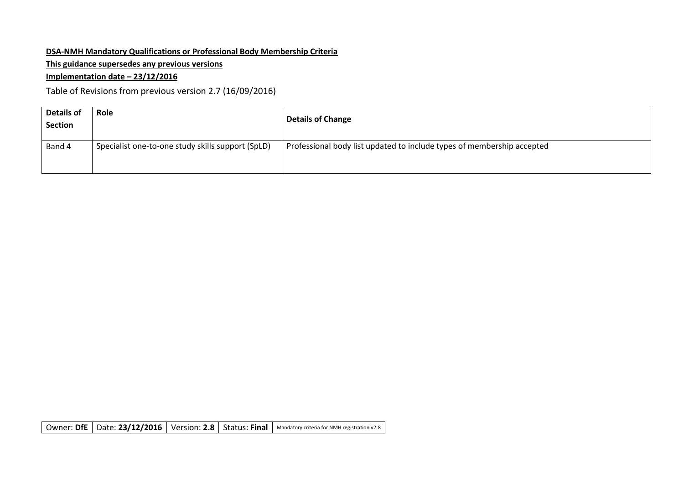# **DSA-NMH Mandatory Qualifications or Professional Body Membership Criteria**

**This guidance supersedes any previous versions**

## **Implementation date – 23/12/2016**

Table of Revisions from previous version 2.7 (16/09/2016)

| <b>Details of</b><br><b>Section</b> | Role                                              | <b>Details of Change</b>                                               |
|-------------------------------------|---------------------------------------------------|------------------------------------------------------------------------|
| Band 4                              | Specialist one-to-one study skills support (SpLD) | Professional body list updated to include types of membership accepted |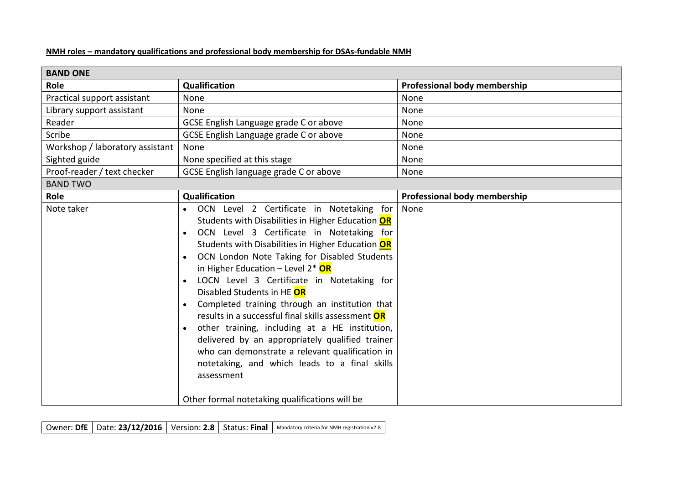#### **NMH roles – mandatory qualifications and professional body membership for DSAs-fundable NMH**

| <b>BAND ONE</b>                 |                                                                                                                                                                                                                                                                                                                                                                                                                                                                                                                                                                                                                                                                                                                                                                        |                              |  |
|---------------------------------|------------------------------------------------------------------------------------------------------------------------------------------------------------------------------------------------------------------------------------------------------------------------------------------------------------------------------------------------------------------------------------------------------------------------------------------------------------------------------------------------------------------------------------------------------------------------------------------------------------------------------------------------------------------------------------------------------------------------------------------------------------------------|------------------------------|--|
| Role                            | <b>Qualification</b>                                                                                                                                                                                                                                                                                                                                                                                                                                                                                                                                                                                                                                                                                                                                                   | Professional body membership |  |
| Practical support assistant     | None                                                                                                                                                                                                                                                                                                                                                                                                                                                                                                                                                                                                                                                                                                                                                                   | None                         |  |
| Library support assistant       | None                                                                                                                                                                                                                                                                                                                                                                                                                                                                                                                                                                                                                                                                                                                                                                   | None                         |  |
| Reader                          | GCSE English Language grade C or above                                                                                                                                                                                                                                                                                                                                                                                                                                                                                                                                                                                                                                                                                                                                 | None                         |  |
| Scribe                          | GCSE English Language grade C or above                                                                                                                                                                                                                                                                                                                                                                                                                                                                                                                                                                                                                                                                                                                                 | None                         |  |
| Workshop / laboratory assistant | None                                                                                                                                                                                                                                                                                                                                                                                                                                                                                                                                                                                                                                                                                                                                                                   | None                         |  |
| Sighted guide                   | None specified at this stage                                                                                                                                                                                                                                                                                                                                                                                                                                                                                                                                                                                                                                                                                                                                           | None                         |  |
| Proof-reader / text checker     | GCSE English language grade C or above                                                                                                                                                                                                                                                                                                                                                                                                                                                                                                                                                                                                                                                                                                                                 | None                         |  |
| <b>BAND TWO</b>                 |                                                                                                                                                                                                                                                                                                                                                                                                                                                                                                                                                                                                                                                                                                                                                                        |                              |  |
| Role                            | <b>Qualification</b>                                                                                                                                                                                                                                                                                                                                                                                                                                                                                                                                                                                                                                                                                                                                                   | Professional body membership |  |
| Note taker                      | OCN Level 2 Certificate in Notetaking for<br>Students with Disabilities in Higher Education OR<br>OCN Level 3 Certificate in Notetaking for<br>Students with Disabilities in Higher Education OR<br>OCN London Note Taking for Disabled Students<br>in Higher Education - Level 2* OR<br>LOCN Level 3 Certificate in Notetaking for<br>Disabled Students in HE OR<br>Completed training through an institution that<br>results in a successful final skills assessment <b>OR</b><br>other training, including at a HE institution,<br>$\bullet$<br>delivered by an appropriately qualified trainer<br>who can demonstrate a relevant qualification in<br>notetaking, and which leads to a final skills<br>assessment<br>Other formal notetaking qualifications will be | None                         |  |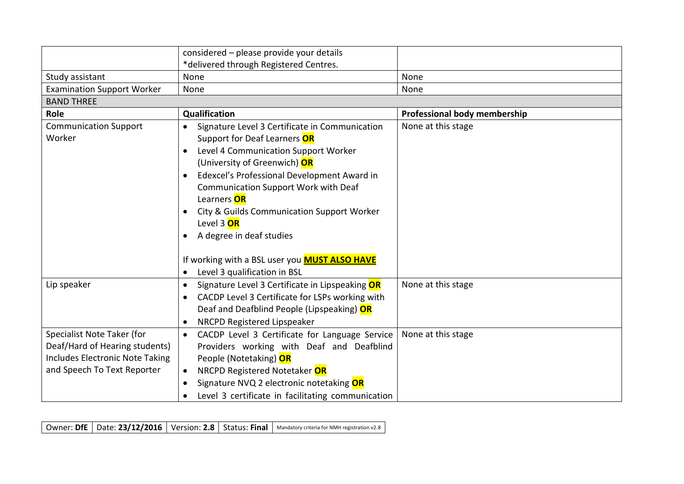|                                        | considered - please provide your details<br>*delivered through Registered Centres.                                                                                                                                                                                                                                                                                                                                                                                                               |                              |
|----------------------------------------|--------------------------------------------------------------------------------------------------------------------------------------------------------------------------------------------------------------------------------------------------------------------------------------------------------------------------------------------------------------------------------------------------------------------------------------------------------------------------------------------------|------------------------------|
| Study assistant                        | None                                                                                                                                                                                                                                                                                                                                                                                                                                                                                             | None                         |
| <b>Examination Support Worker</b>      | None                                                                                                                                                                                                                                                                                                                                                                                                                                                                                             | None                         |
| <b>BAND THREE</b>                      |                                                                                                                                                                                                                                                                                                                                                                                                                                                                                                  |                              |
| Role                                   | Qualification                                                                                                                                                                                                                                                                                                                                                                                                                                                                                    | Professional body membership |
| <b>Communication Support</b><br>Worker | Signature Level 3 Certificate in Communication<br>$\bullet$<br>Support for Deaf Learners OR<br>Level 4 Communication Support Worker<br>$\bullet$<br>(University of Greenwich) OR<br>Edexcel's Professional Development Award in<br>$\bullet$<br>Communication Support Work with Deaf<br>Learners OR<br>City & Guilds Communication Support Worker<br>Level 3 OR<br>A degree in deaf studies<br>If working with a BSL user you <b>MUST ALSO HAVE</b><br>Level 3 qualification in BSL<br>$\bullet$ | None at this stage           |
| Lip speaker                            | Signature Level 3 Certificate in Lipspeaking OR<br>$\bullet$                                                                                                                                                                                                                                                                                                                                                                                                                                     | None at this stage           |
|                                        | CACDP Level 3 Certificate for LSPs working with<br>$\bullet$<br>Deaf and Deafblind People (Lipspeaking) OR<br>NRCPD Registered Lipspeaker<br>$\bullet$                                                                                                                                                                                                                                                                                                                                           |                              |
| Specialist Note Taker (for             | CACDP Level 3 Certificate for Language Service<br>$\bullet$                                                                                                                                                                                                                                                                                                                                                                                                                                      | None at this stage           |
| Deaf/Hard of Hearing students)         | Providers working with Deaf and Deafblind                                                                                                                                                                                                                                                                                                                                                                                                                                                        |                              |
| <b>Includes Electronic Note Taking</b> | People (Notetaking) OR                                                                                                                                                                                                                                                                                                                                                                                                                                                                           |                              |
| and Speech To Text Reporter            | NRCPD Registered Notetaker OR<br>$\bullet$                                                                                                                                                                                                                                                                                                                                                                                                                                                       |                              |
|                                        | Signature NVQ 2 electronic notetaking OR<br>$\bullet$                                                                                                                                                                                                                                                                                                                                                                                                                                            |                              |
|                                        | Level 3 certificate in facilitating communication<br>$\bullet$                                                                                                                                                                                                                                                                                                                                                                                                                                   |                              |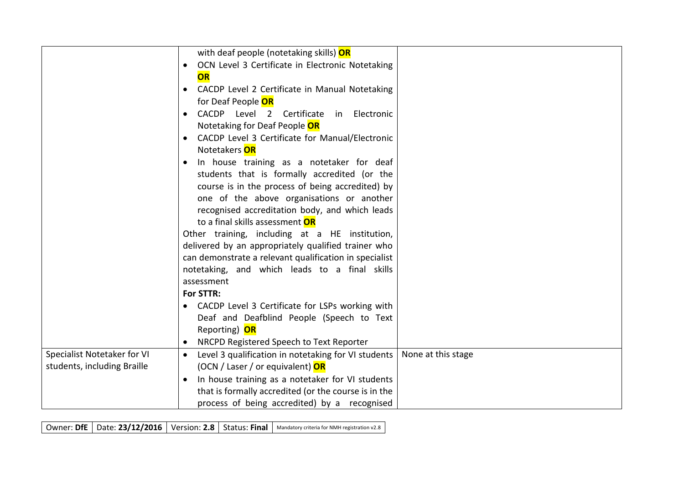|                             | with deaf people (notetaking skills) OR                                                |
|-----------------------------|----------------------------------------------------------------------------------------|
|                             | OCN Level 3 Certificate in Electronic Notetaking                                       |
|                             | OR                                                                                     |
|                             | CACDP Level 2 Certificate in Manual Notetaking                                         |
|                             | for Deaf People <b>OR</b>                                                              |
|                             | CACDP Level 2 Certificate in Electronic                                                |
|                             | Notetaking for Deaf People OR                                                          |
|                             | CACDP Level 3 Certificate for Manual/Electronic                                        |
|                             | Notetakers OR                                                                          |
|                             | In house training as a notetaker for deaf                                              |
|                             | students that is formally accredited (or the                                           |
|                             | course is in the process of being accredited) by                                       |
|                             | one of the above organisations or another                                              |
|                             | recognised accreditation body, and which leads                                         |
|                             | to a final skills assessment <b>OR</b>                                                 |
|                             | Other training, including at a HE institution,                                         |
|                             | delivered by an appropriately qualified trainer who                                    |
|                             | can demonstrate a relevant qualification in specialist                                 |
|                             | notetaking, and which leads to a final skills<br>assessment                            |
|                             | For STTR:                                                                              |
|                             | CACDP Level 3 Certificate for LSPs working with                                        |
|                             | Deaf and Deafblind People (Speech to Text                                              |
|                             | Reporting) OR                                                                          |
|                             | NRCPD Registered Speech to Text Reporter<br>$\bullet$                                  |
| Specialist Notetaker for VI | None at this stage<br>Level 3 qualification in notetaking for VI students<br>$\bullet$ |
| students, including Braille | (OCN / Laser / or equivalent) OR                                                       |
|                             | In house training as a notetaker for VI students                                       |
|                             | that is formally accredited (or the course is in the                                   |
|                             | process of being accredited) by a recognised                                           |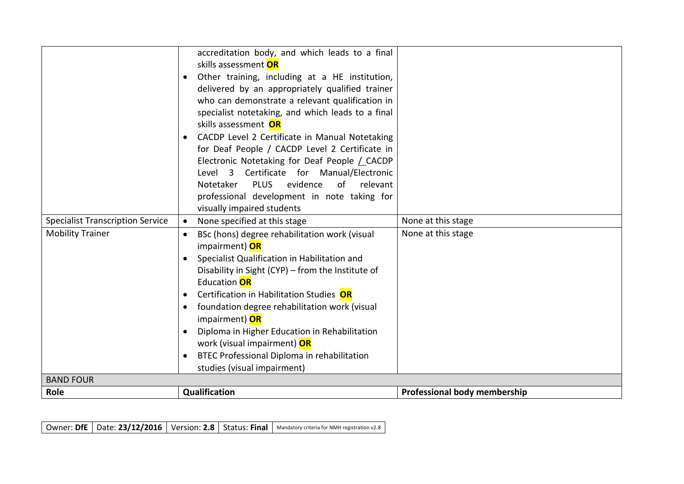|                                         | accreditation body, and which leads to a final<br>skills assessment <b>OR</b><br>Other training, including at a HE institution,<br>delivered by an appropriately qualified trainer<br>who can demonstrate a relevant qualification in<br>specialist notetaking, and which leads to a final<br>skills assessment OR<br>CACDP Level 2 Certificate in Manual Notetaking<br>for Deaf People / CACDP Level 2 Certificate in<br>Electronic Notetaking for Deaf People / CACDP<br>Level 3 Certificate for Manual/Electronic<br>evidence<br>Notetaker<br><b>PLUS</b><br>of<br>relevant<br>professional development in note taking for<br>visually impaired students |                              |
|-----------------------------------------|-------------------------------------------------------------------------------------------------------------------------------------------------------------------------------------------------------------------------------------------------------------------------------------------------------------------------------------------------------------------------------------------------------------------------------------------------------------------------------------------------------------------------------------------------------------------------------------------------------------------------------------------------------------|------------------------------|
| <b>Specialist Transcription Service</b> | None specified at this stage<br>$\bullet$                                                                                                                                                                                                                                                                                                                                                                                                                                                                                                                                                                                                                   | None at this stage           |
| <b>Mobility Trainer</b>                 | BSc (hons) degree rehabilitation work (visual<br>$\bullet$<br>impairment) OR<br>Specialist Qualification in Habilitation and<br>Disability in Sight (CYP) – from the Institute of<br>Education <b>OR</b><br>Certification in Habilitation Studies OR<br>$\bullet$<br>foundation degree rehabilitation work (visual<br>$\bullet$<br>impairment) OR<br>Diploma in Higher Education in Rehabilitation<br>work (visual impairment) OR<br>BTEC Professional Diploma in rehabilitation<br>$\bullet$<br>studies (visual impairment)                                                                                                                                | None at this stage           |
| <b>BAND FOUR</b>                        |                                                                                                                                                                                                                                                                                                                                                                                                                                                                                                                                                                                                                                                             |                              |
| Role                                    | Qualification                                                                                                                                                                                                                                                                                                                                                                                                                                                                                                                                                                                                                                               | Professional body membership |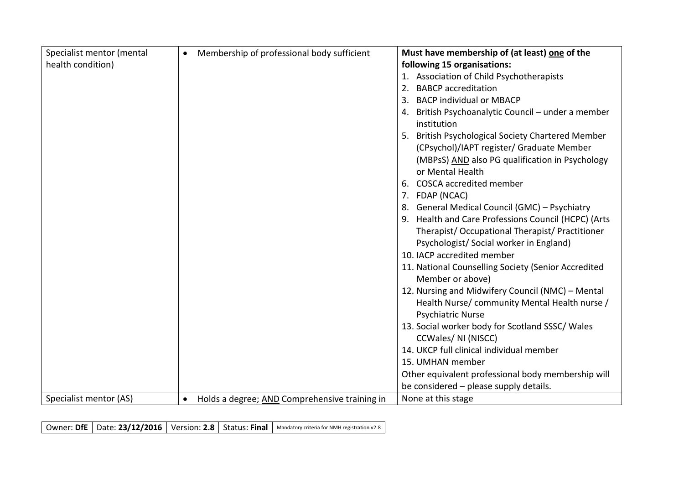| Specialist mentor (mental | Membership of professional body sufficient<br>$\bullet$    | Must have membership of (at least) one of the                             |
|---------------------------|------------------------------------------------------------|---------------------------------------------------------------------------|
| health condition)         |                                                            | following 15 organisations:                                               |
|                           |                                                            | 1. Association of Child Psychotherapists                                  |
|                           |                                                            | <b>BABCP</b> accreditation<br>2.                                          |
|                           |                                                            | <b>BACP individual or MBACP</b>                                           |
|                           |                                                            | 4. British Psychoanalytic Council - under a member<br>institution         |
|                           |                                                            | 5. British Psychological Society Chartered Member                         |
|                           |                                                            | (CPsychol)/IAPT register/ Graduate Member                                 |
|                           |                                                            | (MBPsS) AND also PG qualification in Psychology<br>or Mental Health       |
|                           |                                                            | <b>COSCA accredited member</b><br>6.                                      |
|                           |                                                            | 7. FDAP (NCAC)                                                            |
|                           |                                                            | 8. General Medical Council (GMC) - Psychiatry                             |
|                           |                                                            | 9. Health and Care Professions Council (HCPC) (Arts                       |
|                           |                                                            | Therapist/Occupational Therapist/Practitioner                             |
|                           |                                                            | Psychologist/Social worker in England)                                    |
|                           |                                                            | 10. IACP accredited member                                                |
|                           |                                                            | 11. National Counselling Society (Senior Accredited                       |
|                           |                                                            | Member or above)                                                          |
|                           |                                                            | 12. Nursing and Midwifery Council (NMC) - Mental                          |
|                           |                                                            | Health Nurse/ community Mental Health nurse /<br><b>Psychiatric Nurse</b> |
|                           |                                                            | 13. Social worker body for Scotland SSSC/ Wales                           |
|                           |                                                            | CCWales/ NI (NISCC)                                                       |
|                           |                                                            | 14. UKCP full clinical individual member                                  |
|                           |                                                            | 15. UMHAN member                                                          |
|                           |                                                            | Other equivalent professional body membership will                        |
|                           |                                                            | be considered - please supply details.                                    |
| Specialist mentor (AS)    | Holds a degree; AND Comprehensive training in<br>$\bullet$ | None at this stage                                                        |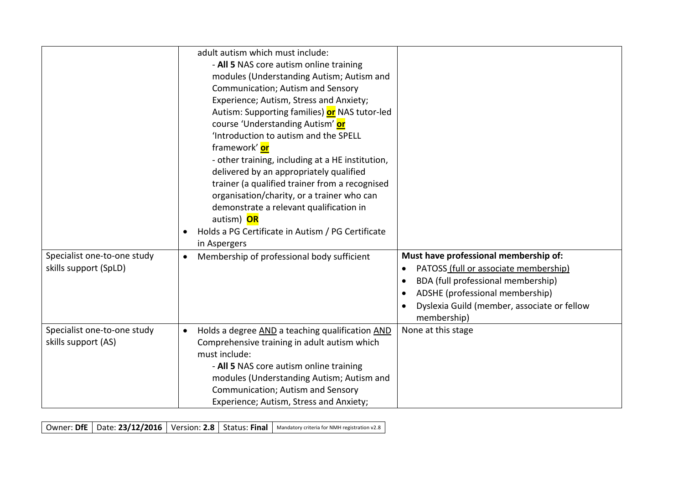|                                                      | adult autism which must include:<br>- All 5 NAS core autism online training<br>modules (Understanding Autism; Autism and<br>Communication; Autism and Sensory<br>Experience; Autism, Stress and Anxiety;                                                                                              |                                                                                                                                                                                                                                                                           |
|------------------------------------------------------|-------------------------------------------------------------------------------------------------------------------------------------------------------------------------------------------------------------------------------------------------------------------------------------------------------|---------------------------------------------------------------------------------------------------------------------------------------------------------------------------------------------------------------------------------------------------------------------------|
|                                                      | Autism: Supporting families) or NAS tutor-led<br>course 'Understanding Autism' or<br>Introduction to autism and the SPELL<br>framework' or                                                                                                                                                            |                                                                                                                                                                                                                                                                           |
|                                                      | - other training, including at a HE institution,<br>delivered by an appropriately qualified<br>trainer (a qualified trainer from a recognised<br>organisation/charity, or a trainer who can<br>demonstrate a relevant qualification in                                                                |                                                                                                                                                                                                                                                                           |
|                                                      | autism) OR<br>Holds a PG Certificate in Autism / PG Certificate<br>$\bullet$<br>in Aspergers                                                                                                                                                                                                          |                                                                                                                                                                                                                                                                           |
| Specialist one-to-one study<br>skills support (SpLD) | Membership of professional body sufficient<br>$\bullet$                                                                                                                                                                                                                                               | Must have professional membership of:<br>PATOSS (full or associate membership)<br>$\bullet$<br>BDA (full professional membership)<br>$\bullet$<br>ADSHE (professional membership)<br>$\bullet$<br>Dyslexia Guild (member, associate or fellow<br>$\bullet$<br>membership) |
| Specialist one-to-one study<br>skills support (AS)   | Holds a degree AND a teaching qualification AND<br>$\bullet$<br>Comprehensive training in adult autism which<br>must include:<br>- All 5 NAS core autism online training<br>modules (Understanding Autism; Autism and<br>Communication; Autism and Sensory<br>Experience; Autism, Stress and Anxiety; | None at this stage                                                                                                                                                                                                                                                        |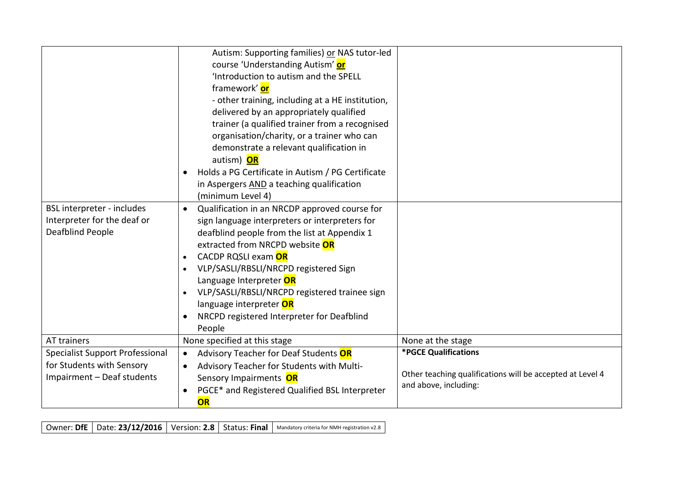| BSL interpreter - includes<br>Interpreter for the deaf or<br>Deafblind People                     | Autism: Supporting families) or NAS tutor-led<br>course 'Understanding Autism' or<br>'Introduction to autism and the SPELL<br>framework' or<br>- other training, including at a HE institution,<br>delivered by an appropriately qualified<br>trainer (a qualified trainer from a recognised<br>organisation/charity, or a trainer who can<br>demonstrate a relevant qualification in<br>autism) OR<br>Holds a PG Certificate in Autism / PG Certificate<br>$\bullet$<br>in Aspergers AND a teaching qualification<br>(minimum Level 4)<br>Qualification in an NRCDP approved course for<br>$\bullet$<br>sign language interpreters or interpreters for<br>deafblind people from the list at Appendix 1<br>extracted from NRCPD website OR<br>CACDP RQSLI exam OR<br>$\bullet$<br>VLP/SASLI/RBSLI/NRCPD registered Sign<br>$\bullet$<br>Language Interpreter OR<br>VLP/SASLI/RBSLI/NRCPD registered trainee sign<br>$\bullet$<br>language interpreter OR<br>NRCPD registered Interpreter for Deafblind<br>$\bullet$<br>People |                                                                                                            |
|---------------------------------------------------------------------------------------------------|-------------------------------------------------------------------------------------------------------------------------------------------------------------------------------------------------------------------------------------------------------------------------------------------------------------------------------------------------------------------------------------------------------------------------------------------------------------------------------------------------------------------------------------------------------------------------------------------------------------------------------------------------------------------------------------------------------------------------------------------------------------------------------------------------------------------------------------------------------------------------------------------------------------------------------------------------------------------------------------------------------------------------------|------------------------------------------------------------------------------------------------------------|
| AT trainers                                                                                       | None specified at this stage                                                                                                                                                                                                                                                                                                                                                                                                                                                                                                                                                                                                                                                                                                                                                                                                                                                                                                                                                                                                  | None at the stage                                                                                          |
| <b>Specialist Support Professional</b><br>for Students with Sensory<br>Impairment - Deaf students | Advisory Teacher for Deaf Students OR<br>$\bullet$<br>Advisory Teacher for Students with Multi-<br>$\bullet$<br>Sensory Impairments OR<br>PGCE* and Registered Qualified BSL Interpreter<br>$\bullet$<br>OR                                                                                                                                                                                                                                                                                                                                                                                                                                                                                                                                                                                                                                                                                                                                                                                                                   | *PGCE Qualifications<br>Other teaching qualifications will be accepted at Level 4<br>and above, including: |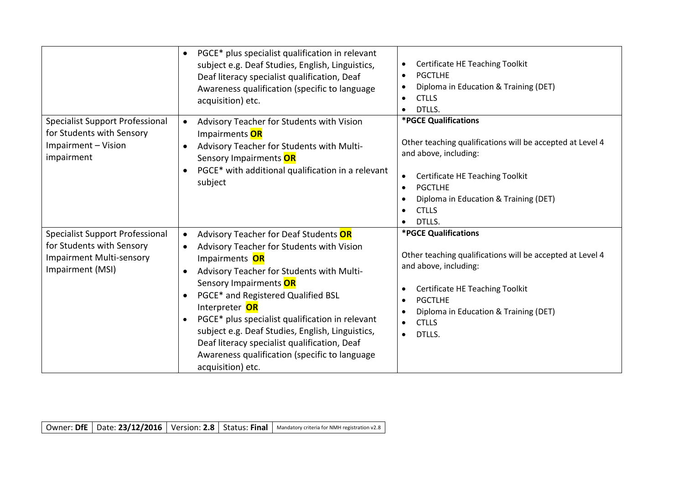|                                                                                                                            | PGCE* plus specialist qualification in relevant<br>$\bullet$<br>subject e.g. Deaf Studies, English, Linguistics,<br>Deaf literacy specialist qualification, Deaf<br>Awareness qualification (specific to language<br>acquisition) etc.                                                                                                                                                                                                                                                                                            | Certificate HE Teaching Toolkit<br>$\bullet$<br><b>PGCTLHE</b><br>$\bullet$<br>Diploma in Education & Training (DET)<br>$\bullet$<br><b>CTLLS</b><br>DTLLS.<br>$\bullet$                                                                                                  |
|----------------------------------------------------------------------------------------------------------------------------|-----------------------------------------------------------------------------------------------------------------------------------------------------------------------------------------------------------------------------------------------------------------------------------------------------------------------------------------------------------------------------------------------------------------------------------------------------------------------------------------------------------------------------------|---------------------------------------------------------------------------------------------------------------------------------------------------------------------------------------------------------------------------------------------------------------------------|
| <b>Specialist Support Professional</b><br>for Students with Sensory<br>Impairment - Vision<br>impairment                   | Advisory Teacher for Students with Vision<br>$\bullet$<br>Impairments OR<br>Advisory Teacher for Students with Multi-<br>$\bullet$<br>Sensory Impairments OR<br>PGCE* with additional qualification in a relevant<br>$\bullet$<br>subject                                                                                                                                                                                                                                                                                         | *PGCE Qualifications<br>Other teaching qualifications will be accepted at Level 4<br>and above, including:<br>Certificate HE Teaching Toolkit<br>$\bullet$<br><b>PGCTLHE</b><br>$\bullet$<br>Diploma in Education & Training (DET)<br>٠<br><b>CTLLS</b><br>DTLLS.         |
| <b>Specialist Support Professional</b><br>for Students with Sensory<br><b>Impairment Multi-sensory</b><br>Impairment (MSI) | Advisory Teacher for Deaf Students OR<br>$\bullet$<br>Advisory Teacher for Students with Vision<br>$\bullet$<br>Impairments OR<br>Advisory Teacher for Students with Multi-<br>$\bullet$<br>Sensory Impairments OR<br>PGCE* and Registered Qualified BSL<br>$\bullet$<br>Interpreter OR<br>PGCE* plus specialist qualification in relevant<br>$\bullet$<br>subject e.g. Deaf Studies, English, Linguistics,<br>Deaf literacy specialist qualification, Deaf<br>Awareness qualification (specific to language<br>acquisition) etc. | *PGCE Qualifications<br>Other teaching qualifications will be accepted at Level 4<br>and above, including:<br>Certificate HE Teaching Toolkit<br>$\bullet$<br><b>PGCTLHE</b><br>$\bullet$<br>Diploma in Education & Training (DET)<br>$\bullet$<br><b>CTLLS</b><br>DTLLS. |